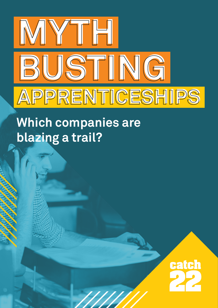

# **Which companies are blazing a trail?**

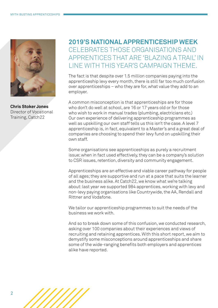

**Chris Stoker Jones** Director of Vocational Training, Catch22

# **2019'S NATIONAL APPRENTICESHIP WEEK**  CELEBRATES THOSE ORGANISATIONS AND APPRENTICES THAT ARE 'BLAZING A TRAIL' IN LINE WITH THIS YEAR'S CAMPAIGN THEME.

The fact is that despite over 1.5 million companies paying into the apprenticeship levy every month, there is still far too much confusion over apprenticeships – who they are for, what value they add to an employer.

A common misconception is that apprenticeships are for those who don't do well at school, are 16 or 17 years old or for those who wish to work in manual trades (plumbing, electricians etc.) Our own experience of delivering apprenticeship programmes as well as upskilling our own staff tells us this isn't the case. A level 7 apprenticeship is, in fact, equivalent to a Master's and a great deal of companies are choosing to spend their levy fund on upskilling their own staff.

Some organisations see apprenticeships as purely a recruitment issue; when in fact used effectively, they can be a company's solution to CSR issues, retention, diversity and community engagement.

Apprenticeships are an effective and viable career pathway for people of all ages; they are supportive and run at a pace that suits the learner and the business alike. At Catch22, we know what we're talking about: last year we supported 984 apprentices, working with levy and non-levy paying organisations like Countrywide, the AA, Rendall and Rittner and Vodafone.

We tailor our apprenticeship programmes to suit the needs of the business we work with.

And so to break down some of this confusion, we conducted research, asking over 100 companies about their experiences and views of recruiting and retaining apprentices. With this short report, we aim to demystify some misconceptions around apprenticeships and share some of the wide-ranging benefits both employers and apprentices alike have reported.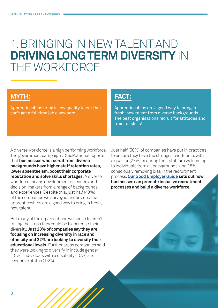# 1. BRINGING IN NEW TALENT AND **DRIVING LONG TERM DIVERSITY** IN THE WORKFORCE

## **MYTH:**

Apprenticeships bring in low quality talent that can't get a full time job elsewhere.

## **FACT:**

Apprenticeships are a good way to bring in fresh, new talent from diverse backgrounds. The best organisations recruit for attitudes and train for skills!

A diverse workforce is a high performing workforce. The government campaign #SeePotential reports that **businesses who recruit from diverse backgrounds have higher staff retention rates, lower absenteeism, boost their corporate reputation and solve skills shortages.** A diverse workforce means development of leaders and decision-makers from a range of backgrounds and experiences. Despite this, just half (43%) of the companies we surveyed understood that apprenticeships are a good way to bring in fresh, new talent.

But many of the organisations we spoke to aren't taking the steps they could be to increase their diversity. **Just 23% of companies say they are focusing on increasing diversity in race and ethnicity and 22% are looking to diversify their educational levels.** Further areas companies said they were looking to diversify in include gender (15%), individuals with a disability (15%) and economic status (13%).

Just half (58%) of companies have put in practices to ensure they have the strongest workforce, with a quarter (27%) ensuring their staff are welcoming to individuals from all backgrounds, and 18% consciously removing bias in the recruitment process. **[Our Good Employer Guide](https://cdn.catch-22.org.uk/wp-content/uploads/2018/06/Good-Employer-Guide.pdf) sets out how businesses can promote inclusive recruitment processes and build a diverse workforce.**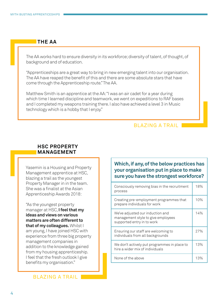## **THE AA**

The AA works hard to ensure diversity in its workforce; diversity of talent, of thought, of background and of education.

"Apprenticeships are a great way to bring in new emerging talent into our organisation. The AA have reaped the benefit of this and there are some absolute stars that have come through the Apprenticeship route." The AA.

Matthew Smith is an apprentice at the AA: "I was an air cadet for a year during which time I learned discipline and teamwork, we went on expeditions to RAF bases and I completed my weapons training there. I also have achieved a level 3 in Music technology which is a hobby that I enjoy."

### BLAZING A TRAIL

#### **HSC PROPERTY MANAGEMENT**

Yasemin is a Housing and Property Management apprentice at HSC, blazing a trail as the youngest Property Manager in in the team. She was a finalist at the Asian Apprenticeship Awards 2018:

"As the youngest property manager at HSC, **I feel that my ideas and views on various matters are often different to that of my colleagues.** Whilst I am young, I have joined HSC with experience from three big property management companies in addition to the knowledge gained from my housing apprenticeship. I feel that the fresh outlook I give benefits my organisation."

BLAZING A TRAIL

### **Which, if any, of the below practices has your organisation put in place to make sure you have the strongest workforce?**

| Consciously removing bias in the recruitment<br>process                                              | 18% |
|------------------------------------------------------------------------------------------------------|-----|
| Creating pre-employment programmes that<br>prepare individuals for work                              | 10% |
| We've adjusted our induction and<br>management style to give employees<br>supported entry in to work | 14% |
| Ensuring our staff are welcoming to<br>individuals from all backgrounds                              | 27% |
| We don't actively put programmes in place to<br>hire a wider mix of individuals                      | 13% |
| None of the above                                                                                    | 13% |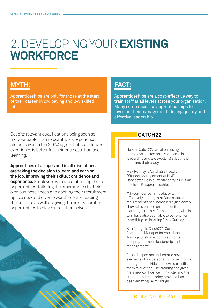# 2. DEVELOPING YOUR **EXISTING WORKFORCE**

# **MYTH:**

Apprenticeships are only for those at the start of their career, in low paying and low skilled iobs.

Despite relevant qualifications being seen as more valuable than relevant work experience, almost seven in ten (69%) agree that real life work experience is better for their business than book learning.

**Apprentices of all ages and in all disciplines are taking the decision to learn and earn on the job, improving their skills, confidence and experience.** Employers who are embracing these opportunities, tailoring the programmes to their own business needs and opening their recruitment up to a new and diverse workforce, are reaping the benefits as well as giving the next generation opportunities to blaze a trail themselves.

# **FACT:**

Apprenticeships are a cost-effective way to train staff at all levels across your organisation. Many companies use apprenticeships to invest in their management, driving quality and effective leadership.

## **CATCH22**

Here at Catch22, two of our rising stars have started an ILM diploma in leadership and are excelling at both their roles and their study.

Max Rumley is Catch22's Head of Offender Management at HMP Doncaster. He is currently carrying out an ILM level 5 apprenticeship:

"My confidence in my ability to effectively manage staff and contractual requirements has increased significantly. I have also passed on some of the learning to the staff I line manage, who in turn have also been able to benefit from everything I'm learning." Max Rumley

Kim Clough is Catch22's Contracts Assurance Manager for Vocational Training. She's also completing the ILM programme in leadership and management:

"It has helped me understand how elements of my personality come into my management skills and how I can utilise them to succeed. The training has given me a new confidence in my role, and the support and mentoring provided has been amazing." Kim Clough

### BLAZING A TRAIL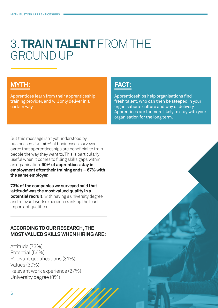# 3. **TRAIN TALENT** FROM THE GROUND UP

# **MYTH:**

Apprentices learn from their apprenticeship training provider, and will only deliver in a certain way.

But this message isn't yet understood by businesses. Just 40% of businesses surveyed agree that apprenticeships are beneficial to train people the way they want to. This is particularly useful when it comes to filling skills gaps within an organisation. **90% of apprentices stay in employment after their training ends – 67% with the same employer.**

**73% of the companies we surveyed said that 'attitude' was the most valued quality in a potential recruit,** with having a university degree and relevant work experience ranking the least important qualities.

## **ACCORDING TO OUR RESEARCH, THE MOST VALUED SKILLS WHEN HIRING ARE:**

Attitude (73%) Potential (56%) Relevant qualifications (31%) Values (30%) Relevant work experience (27%) University degree (8%)

# **FACT:**

Apprenticeships help organisations find fresh talent, who can then be steeped in your organisation's culture and way of delivery. Apprentices are far more likely to stay with your organisation for the long term.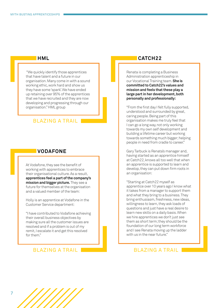#### **HML**

 "We quickly identify those apprentices that have talent and a future in our organisation. Many come in with a sound working ethic, work hard and show us they have some 'spark'. We have ended up retaining over 95% of the apprentices that we have recruited and they are now developing and progressing through our organisation." HML group

## BLAZING A TRAIL

#### **VODAFONE**

At Vodafone, they see the benefit of working with apprentices to embrace their organisational culture. As a result, **apprentices feel a part of the company's mission and bigger picture.** They see a future for themselves at the organisation and a valued member of the team:

Holly is an apprentice at Vodafone in the Customer Service department:

"I have contributed to Vodafone achieving their overall business objectives by making sure all the customer issues are resolved and if a problem is out of my remit, I escalate it and get this resolved for them."

#### BLAZING A TRAIL

### **CATCH22**

Renata is completing a Business Administration apprenticeship in our Vocational Training team. **She is committed to Catch22's values and mission and feels that these play a large part in her development, both personally and professionally:**

"From the first day I felt fully supported, understood and surrounded by great, caring people. Being part of this organisation makes me truly feel that I can go a long way, not only working towards my own self development and building a lifetime career but working towards something much bigger; helping people in need from cradle to career."

Gary Tarbuck is Renata's manager and, having started as an apprentice himself at Catch22, knows all too well that when an apprentice is supported to learn and develop, they can put down firm roots in an organisation:

"Starting at Catch22 myself as apprentice over 10 years ago I know what it takes from a manager to support them and what they bring to a business. They bring enthusiasm, freshness, new ideas, willingness to learn, they ask loads of questions and just have a real desire to learn new skills on a daily basis. When we hire apprentices we don't just see them as short term; they should be the foundation of our long term workforce and I see Renata moving up the ladder with us in the near future."

#### BLAZING A TRAIL

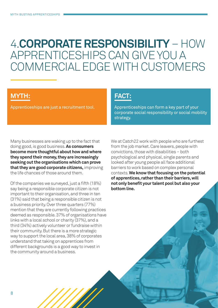# 4.**CORPORATE RESPONSIBILITY** – HOW APPRENTICESHIPS CAN GIVE YOU A COMMERCIAL EDGE WITH CUSTOMERS

# **MYTH:**

Apprenticeships are just a recruitment tool.

## **FACT:**

Apprenticeships can form a key part of your corporate social responsibility or social mobility strategy.

Many businesses are waking up to the fact that doing good, is good business. **As consumers become more thoughtful about how and where they spend their money, they are increasingly seeking out the organisations which can prove that they are good corporate citizens,** improving the life chances of those around them.

Of the companies we surveyed, just a fifth (18%) say being a responsible corporate citizen is not important to their organisation, and three in ten (31%) said that being a responsible citizen is not a business priority. Over three quarters (77%) mention that they are currently following practices deemed as responsible. 37% of organisations have links with a local school or charity (37%), and a third (34%) actively volunteer or fundraise within their community. But there is a more strategic way to support the local area, 38% of corporates understand that taking on apprentices from different backgrounds is a good way to invest in the community around a business.

We at Catch22 work with people who are furthest from the job market. Care leavers, people with convictions, those with disabilities – both psychological and physical, single parents and looked after young people all face additional barriers to work based on complex personal contexts. **We know that focusing on the potential of apprentices, rather than their barriers, will not only benefit your talent pool but also your bottom line.**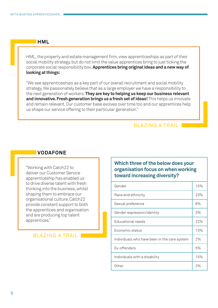#### **HML**

HML, the property and estate management firm, view apprenticeships as part of their social mobility strategy, but do not limit the value apprentices bring to just ticking the corporate social responsibility box. **Apprentices bring original ideas and a new way of looking at things:**

"We see apprenticeships as a key part of our overall recruitment and social mobility strategy. We passionately believe that as a large employer we have a responsibility to the next generation of workers. **They are key to helping us keep our business relevant and innovative. Fresh generation brings us a fresh set of ideas!** This helps us innovate and remain relevant. Our customer base evolves over time too and our apprentices help us shape our service offering to their particular generation."

## BLAZING A TRAIL

### **VODAFONE**

"Working with Catch22 to deliver our Customer Service apprenticeship has enabled us to drive diverse talent with fresh thinking into the business, whilst shaping them to embrace our organisational culture. Catch22 provide constant support to both the apprentices and organisation and are producing top talent apprentices."

#### BLAZING A TRAIL

## **Which three of the below does your organisation focus on when working toward increasing diversity?**

| Gender                                       | 15% |
|----------------------------------------------|-----|
| Race and ethnicity                           | 23% |
| Sexual preference                            | 6%  |
| Gender expression/identity                   | 3%  |
| Educational needs                            | 22% |
| Economic status                              | 13% |
| Individuals who have been in the care system | 2%  |
| Ex-offenders                                 | 5%  |
| Individuals with a disability                | 15% |
| Other                                        | 3%  |